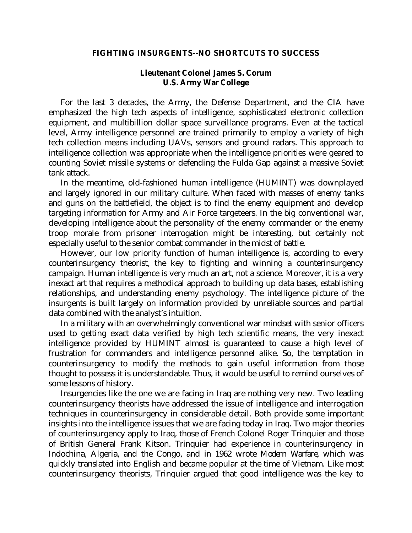## **FIGHTING INSURGENTS--NO SHORTCUTS TO SUCCESS**

## **Lieutenant Colonel James S. Corum U.S. Army War College**

 For the last 3 decades, the Army, the Defense Department, and the CIA have emphasized the high tech aspects of intelligence, sophisticated electronic collection equipment, and multibillion dollar space surveillance programs. Even at the tactical level, Army intelligence personnel are trained primarily to employ a variety of high tech collection means including UAVs, sensors and ground radars. This approach to intelligence collection was appropriate when the intelligence priorities were geared to counting Soviet missile systems or defending the Fulda Gap against a massive Soviet tank attack.

 In the meantime, old-fashioned human intelligence (HUMINT) was downplayed and largely ignored in our military culture. When faced with masses of enemy tanks and guns on the battlefield, the object is to find the enemy equipment and develop targeting information for Army and Air Force targeteers. In the big conventional war, developing intelligence about the personality of the enemy commander or the enemy troop morale from prisoner interrogation might be interesting, but certainly not especially useful to the senior combat commander in the midst of battle.

 However, our low priority function of human intelligence is, according to every counterinsurgency theorist, the key to fighting and winning a counterinsurgency campaign. Human intelligence is very much an art, not a science. Moreover, it is a very inexact art that requires a methodical approach to building up data bases, establishing relationships, and understanding enemy psychology. The intelligence picture of the insurgents is built largely on information provided by unreliable sources and partial data combined with the analyst's intuition.

 In a military with an overwhelmingly conventional war mindset with senior officers used to getting exact data verified by high tech scientific means, the very inexact intelligence provided by HUMINT almost is guaranteed to cause a high level of frustration for commanders and intelligence personnel alike. So, the temptation in counterinsurgency to modify the methods to gain useful information from those thought to possess it is understandable. Thus, it would be useful to remind ourselves of some lessons of history.

 Insurgencies like the one we are facing in Iraq are nothing very new. Two leading counterinsurgency theorists have addressed the issue of intelligence and interrogation techniques in counterinsurgency in considerable detail. Both provide some important insights into the intelligence issues that we are facing today in Iraq. Two major theories of counterinsurgency apply to Iraq, those of French Colonel Roger Trinquier and those of British General Frank Kitson. Trinquier had experience in counterinsurgency in Indochina, Algeria, and the Congo, and in 1962 wrote *Modern Warfare,* which was quickly translated into English and became popular at the time of Vietnam. Like most counterinsurgency theorists, Trinquier argued that good intelligence was the key to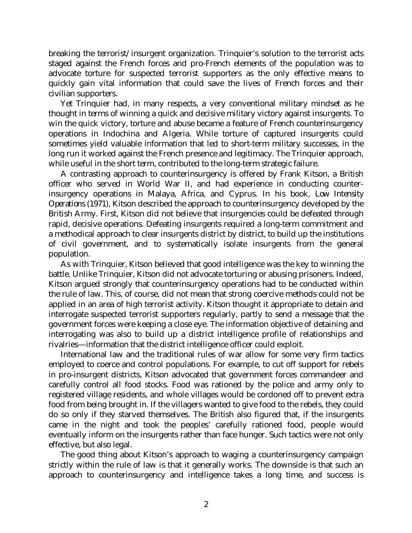breaking the terrorist/insurgent organization. Trinquier's solution to the terrorist acts staged against the French forces and pro-French elements of the population was to advocate torture for suspected terrorist supporters as the only effective means to quickly gain vital information that could save the lives of French forces and their civilian supporters.

 Yet Trinquier had, in many respects, a very conventional military mindset as he thought in terms of winning a quick and decisive military victory against insurgents. To win the quick victory, torture and abuse became a feature of French counterinsurgency operations in Indochina and Algeria. While torture of captured insurgents could sometimes yield valuable information that led to short-term military successes, in the long run it worked against the French presence and legitimacy. The Trinquier approach, while useful in the short term, contributed to the long-term strategic failure.

 A contrasting approach to counterinsurgency is offered by Frank Kitson, a British officer who served in World War II, and had experience in conducting counterinsurgency operations in Malaya, Africa, and Cyprus. In his book, *Low Intensity Operations* (1971), Kitson described the approach to counterinsurgency developed by the British Army. First, Kitson did not believe that insurgencies could be defeated through rapid, decisive operations. Defeating insurgents required a long-term commitment and a methodical approach to clear insurgents district by district, to build up the institutions of civil government, and to systematically isolate insurgents from the general population.

 As with Trinquier, Kitson believed that good intelligence was the key to winning the battle. Unlike Trinquier, Kitson did not advocate torturing or abusing prisoners. Indeed, Kitson argued strongly that counterinsurgency operations had to be conducted within the rule of law. This, of course, did not mean that strong coercive methods could not be applied in an area of high terrorist activity. Kitson thought it appropriate to detain and interrogate suspected terrorist supporters regularly, partly to send a message that the government forces were keeping a close eye. The information objective of detaining and interrogating was also to build up a district intelligence profile of relationships and rivalries—information that the district intelligence officer could exploit.

 International law and the traditional rules of war allow for some very firm tactics employed to coerce and control populations. For example, to cut off support for rebels in pro-insurgent districts, Kitson advocated that government forces commandeer and carefully control all food stocks. Food was rationed by the police and army only to registered village residents, and whole villages would be cordoned off to prevent extra food from being brought in. If the villagers wanted to give food to the rebels, they could do so only if they starved themselves. The British also figured that, if the insurgents came in the night and took the peoples' carefully rationed food, people would eventually inform on the insurgents rather than face hunger. Such tactics were not only effective, but also legal.

 The good thing about Kitson's approach to waging a counterinsurgency campaign strictly within the rule of law is that it generally works. The downside is that such an approach to counterinsurgency and intelligence takes a long time, and success is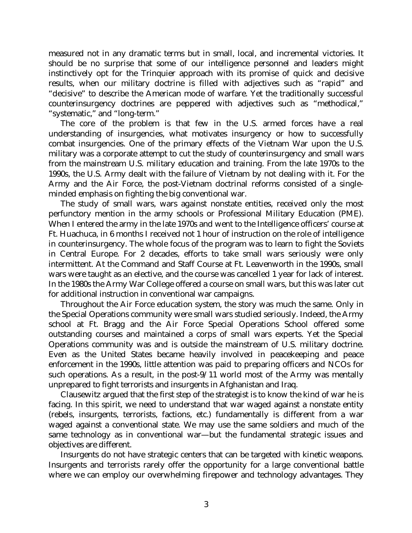measured not in any dramatic terms but in small, local, and incremental victories. It should be no surprise that some of our intelligence personnel and leaders might instinctively opt for the Trinquier approach with its promise of quick and decisive results, when our military doctrine is filled with adjectives such as "rapid" and "decisive" to describe the American mode of warfare. Yet the traditionally successful counterinsurgency doctrines are peppered with adjectives such as "methodical," "systematic," and "long-term."

 The core of the problem is that few in the U.S. armed forces have a real understanding of insurgencies, what motivates insurgency or how to successfully combat insurgencies. One of the primary effects of the Vietnam War upon the U.S. military was a corporate attempt to cut the study of counterinsurgency and small wars from the mainstream U.S. military education and training. From the late 1970s to the 1990s, the U.S. Army dealt with the failure of Vietnam by not dealing with it. For the Army and the Air Force, the post-Vietnam doctrinal reforms consisted of a singleminded emphasis on fighting the big conventional war.

 The study of small wars, wars against nonstate entities, received only the most perfunctory mention in the army schools or Professional Military Education (PME). When I entered the army in the late 1970s and went to the Intelligence officers' course at Ft. Huachuca, in 6 months I received not 1 hour of instruction on the role of intelligence in counterinsurgency. The whole focus of the program was to learn to fight the Soviets in Central Europe. For 2 decades, efforts to take small wars seriously were only intermittent. At the Command and Staff Course at Ft. Leavenworth in the 1990s, small wars were taught as an elective, and the course was cancelled 1 year for lack of interest. In the 1980s the Army War College offered a course on small wars, but this was later cut for additional instruction in conventional war campaigns.

 Throughout the Air Force education system, the story was much the same. Only in the Special Operations community were small wars studied seriously. Indeed, the Army school at Ft. Bragg and the Air Force Special Operations School offered some outstanding courses and maintained a corps of small wars experts. Yet the Special Operations community was and is outside the mainstream of U.S. military doctrine. Even as the United States became heavily involved in peacekeeping and peace enforcement in the 1990s, little attention was paid to preparing officers and NCOs for such operations. As a result, in the post-9/11 world most of the Army was mentally unprepared to fight terrorists and insurgents in Afghanistan and Iraq.

 Clausewitz argued that the first step of the strategist is to know the kind of war he is facing. In this spirit, we need to understand that war waged against a nonstate entity (rebels, insurgents, terrorists, factions, etc.) fundamentally is different from a war waged against a conventional state. We may use the same soldiers and much of the same technology as in conventional war—but the fundamental strategic issues and objectives are different.

 Insurgents do not have strategic centers that can be targeted with kinetic weapons. Insurgents and terrorists rarely offer the opportunity for a large conventional battle where we can employ our overwhelming firepower and technology advantages. They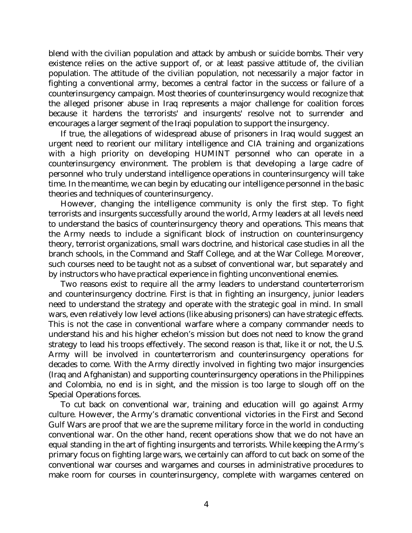blend with the civilian population and attack by ambush or suicide bombs. Their very existence relies on the active support of, or at least passive attitude of, the civilian population. The attitude of the civilian population, not necessarily a major factor in fighting a conventional army, becomes a central factor in the success or failure of a counterinsurgency campaign. Most theories of counterinsurgency would recognize that the alleged prisoner abuse in Iraq represents a major challenge for coalition forces because it hardens the terrorists' and insurgents' resolve not to surrender and encourages a larger segment of the Iraqi population to support the insurgency.

 If true, the allegations of widespread abuse of prisoners in Iraq would suggest an urgent need to reorient our military intelligence and CIA training and organizations with a high priority on developing HUMINT personnel who can operate in a counterinsurgency environment. The problem is that developing a large cadre of personnel who truly understand intelligence operations in counterinsurgency will take time. In the meantime, we can begin by educating our intelligence personnel in the basic theories and techniques of counterinsurgency.

 However, changing the intelligence community is only the first step. To fight terrorists and insurgents successfully around the world, Army leaders at all levels need to understand the basics of counterinsurgency theory and operations. This means that the Army needs to include a significant block of instruction on counterinsurgency theory, terrorist organizations, small wars doctrine, and historical case studies in all the branch schools, in the Command and Staff College, and at the War College. Moreover, such courses need to be taught not as a subset of conventional war, but separately and by instructors who have practical experience in fighting unconventional enemies.

 Two reasons exist to require all the army leaders to understand counterterrorism and counterinsurgency doctrine. First is that in fighting an insurgency, junior leaders need to understand the strategy and operate with the strategic goal in mind. In small wars, even relatively low level actions (like abusing prisoners) can have strategic effects. This is not the case in conventional warfare where a company commander needs to understand his and his higher echelon's mission but does not need to know the grand strategy to lead his troops effectively. The second reason is that, like it or not, the U.S. Army will be involved in counterterrorism and counterinsurgency operations for decades to come. With the Army directly involved in fighting two major insurgencies (Iraq and Afghanistan) and supporting counterinsurgency operations in the Philippines and Colombia, no end is in sight, and the mission is too large to slough off on the Special Operations forces.

 To cut back on conventional war, training and education will go against Army culture. However, the Army's dramatic conventional victories in the First and Second Gulf Wars are proof that we are the supreme military force in the world in conducting conventional war. On the other hand, recent operations show that we do not have an equal standing in the art of fighting insurgents and terrorists. While keeping the Army's primary focus on fighting large wars, we certainly can afford to cut back on some of the conventional war courses and wargames and courses in administrative procedures to make room for courses in counterinsurgency, complete with wargames centered on